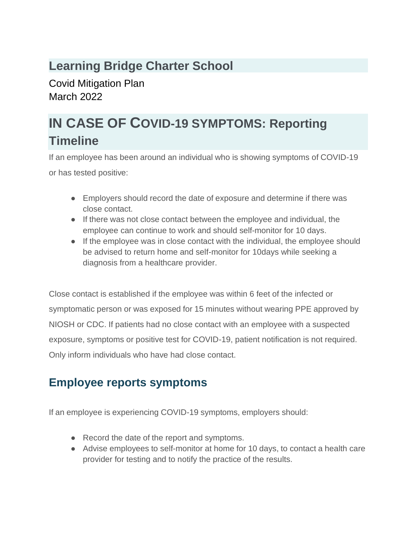# **Learning Bridge Charter School**

Covid Mitigation Plan March 2022

# **IN CASE OF COVID-19 SYMPTOMS: Reporting Timeline**

If an employee has been around an individual who is showing symptoms of COVID-19 or has tested positive:

- Employers should record the date of exposure and determine if there was close contact.
- If there was not close contact between the employee and individual, the employee can continue to work and should self-monitor for 10 days.
- If the employee was in close contact with the individual, the employee should be advised to return home and self-monitor for 10days while seeking a diagnosis from a healthcare provider.

Close contact is established if the employee was within 6 feet of the infected or symptomatic person or was exposed for 15 minutes without wearing PPE approved by NIOSH or CDC. If patients had no close contact with an employee with a suspected exposure, symptoms or positive test for COVID-19, patient notification is not required. Only inform individuals who have had close contact.

## **Employee reports symptoms**

If an employee is experiencing COVID-19 symptoms, employers should:

- Record the date of the report and symptoms.
- Advise employees to self-monitor at home for 10 days, to contact a health care provider for testing and to notify the practice of the results.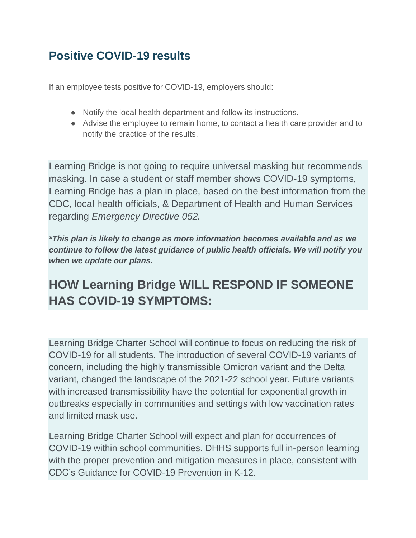## **Positive COVID-19 results**

If an employee tests positive for COVID-19, employers should:

- Notify the local health department and follow its instructions.
- Advise the employee to remain home, to contact a health care provider and to notify the practice of the results.

Learning Bridge is not going to require universal masking but recommends masking. In case a student or staff member shows COVID-19 symptoms, Learning Bridge has a plan in place, based on the best information from the CDC, local health officials, & Department of Health and Human Services regarding *Emergency Directive 052.*

*\*This plan is likely to change as more information becomes available and as we continue to follow the latest guidance of public health officials. We will notify you when we update our plans.*

# **HOW Learning Bridge WILL RESPOND IF SOMEONE HAS COVID-19 SYMPTOMS:**

Learning Bridge Charter School will continue to focus on reducing the risk of COVID-19 for all students. The introduction of several COVID-19 variants of concern, including the highly transmissible Omicron variant and the Delta variant, changed the landscape of the 2021-22 school year. Future variants with increased transmissibility have the potential for exponential growth in outbreaks especially in communities and settings with low vaccination rates and limited mask use.

Learning Bridge Charter School will expect and plan for occurrences of COVID-19 within school communities. DHHS supports full in-person learning with the proper prevention and mitigation measures in place, consistent with CDC's Guidance for COVID-19 Prevention in K-12.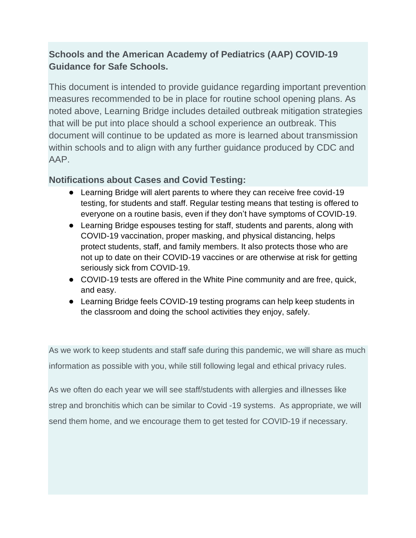### **Schools and the American Academy of Pediatrics (AAP) COVID-19 Guidance for Safe Schools.**

This document is intended to provide guidance regarding important prevention measures recommended to be in place for routine school opening plans. As noted above, Learning Bridge includes detailed outbreak mitigation strategies that will be put into place should a school experience an outbreak. This document will continue to be updated as more is learned about transmission within schools and to align with any further guidance produced by CDC and AAP.

### **Notifications about Cases and Covid Testing:**

- Learning Bridge will alert parents to where they can receive free covid-19 testing, for students and staff. Regular testing means that testing is offered to everyone on a routine basis, even if they don't have symptoms of COVID-19.
- Learning Bridge espouses testing for staff, students and parents, along with COVID-19 vaccination, proper masking, and physical distancing, helps protect students, staff, and family members. It also protects those who are not up to date on their COVID-19 vaccines or are otherwise at risk for getting seriously sick from COVID-19.
- COVID-19 tests are offered in the White Pine community and are free, quick, and easy.
- Learning Bridge feels COVID-19 testing programs can help keep students in the classroom and doing the school activities they enjoy, safely.

As we work to keep students and staff safe during this pandemic, we will share as much information as possible with you, while still following legal and ethical privacy rules.

As we often do each year we will see staff/students with allergies and illnesses like strep and bronchitis which can be similar to Covid -19 systems. As appropriate, we will send them home, and we encourage them to get tested for COVID-19 if necessary.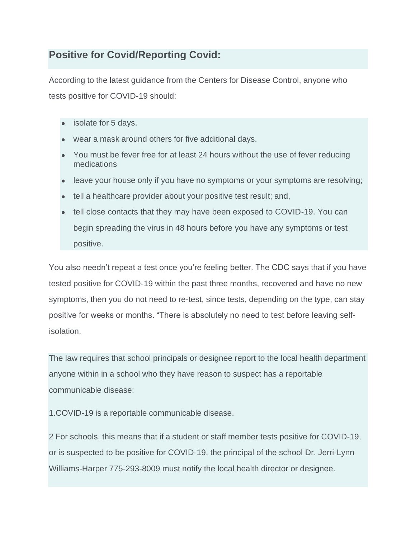## **Positive for Covid/Reporting Covid:**

According to the latest guidance from the Centers for Disease Control, anyone who tests positive for COVID-19 should:

- isolate for 5 days.
- wear a mask around others for five additional days.
- You must be fever free for at least 24 hours without the use of fever reducing medications
- leave your house only if you have no symptoms or your symptoms are resolving;
- tell a healthcare provider about your positive test result; and,
- tell close contacts that they may have been exposed to COVID-19. You can begin spreading the virus in 48 hours before you have any symptoms or test positive.

You also needn't repeat a test once you're feeling better. The CDC says that if you have tested positive for COVID-19 within the past three months, recovered and have no new symptoms, then you do not need to re-test, since tests, depending on the type, can stay positive for weeks or months. "There is absolutely no need to test before leaving selfisolation.

The law requires that school principals or designee report to the local health department anyone within in a school who they have reason to suspect has a reportable communicable disease:

1.COVID-19 is a reportable communicable disease.

2 For schools, this means that if a student or staff member tests positive for COVID-19, or is suspected to be positive for COVID-19, the principal of the school Dr. Jerri-Lynn Williams-Harper 775-293-8009 must notify the local health director or designee.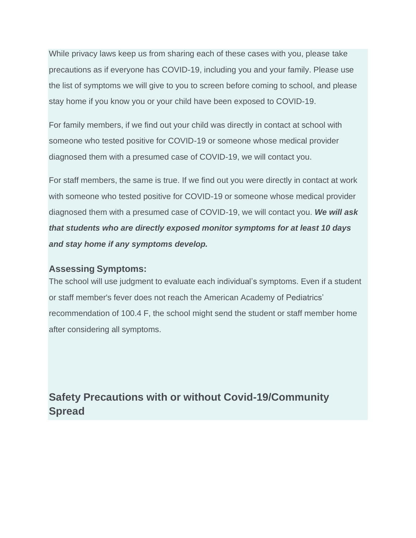While privacy laws keep us from sharing each of these cases with you, please take precautions as if everyone has COVID-19, including you and your family. Please use the list of symptoms we will give to you to screen before coming to school, and please stay home if you know you or your child have been exposed to COVID-19.

For family members, if we find out your child was directly in contact at school with someone who tested positive for COVID-19 or someone whose medical provider diagnosed them with a presumed case of COVID-19, we will contact you.

For staff members, the same is true. If we find out you were directly in contact at work with someone who tested positive for COVID-19 or someone whose medical provider diagnosed them with a presumed case of COVID-19, we will contact you. *We will ask that students who are directly exposed monitor symptoms for at least 10 days and stay home if any symptoms develop.*

#### **Assessing Symptoms:**

The school will use judgment to evaluate each individual's symptoms. Even if a student or staff member's fever does not reach the American Academy of Pediatrics' recommendation of 100.4 F, the school might send the student or staff member home after considering all symptoms.

**Safety Precautions with or without Covid-19/Community Spread**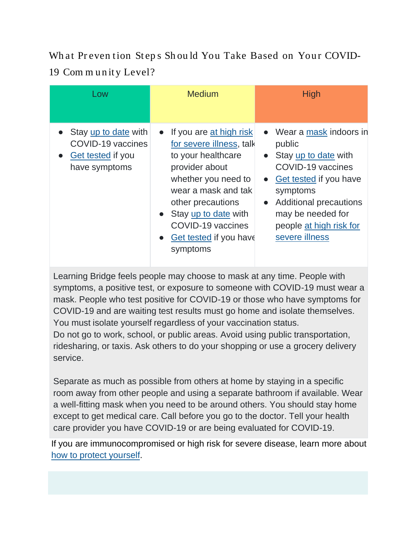## Wh at Preven tion Steps Should You Take Based on Your COVID-19 Com m u n it y Level?

| Low                                                                                      | <b>Medium</b>                                                                                                                                                                                                                                                            | <b>High</b>                                                                                                                                                                                                                                          |
|------------------------------------------------------------------------------------------|--------------------------------------------------------------------------------------------------------------------------------------------------------------------------------------------------------------------------------------------------------------------------|------------------------------------------------------------------------------------------------------------------------------------------------------------------------------------------------------------------------------------------------------|
| • Stay up to date with<br>COVID-19 vaccines<br><b>Get tested if you</b><br>have symptoms | $\bullet$ If you are at high risk<br>for severe illness, talk<br>to your healthcare<br>provider about<br>whether you need to<br>wear a mask and tak<br>other precautions<br>Stay up to date with<br>$\bullet$<br>COVID-19 vaccines<br>Get tested if you have<br>symptoms | • Wear a mask indoors in<br>public<br>• Stay up to date with<br>COVID-19 vaccines<br>Get tested if you have<br>$\bullet$<br>symptoms<br><b>Additional precautions</b><br>$\bullet$<br>may be needed for<br>people at high risk for<br>severe illness |

Learning Bridge feels people may choose to mask at any time. People with symptoms, a positive test, or exposure to someone with COVID-19 must wear a mask. People who test positive for COVID-19 or those who have symptoms for COVID-19 and are waiting test results must go home and isolate themselves. You must isolate yourself regardless of your vaccination status. Do not go to work, school, or public areas. Avoid using public transportation,

ridesharing, or taxis. Ask others to do your shopping or use a grocery delivery service.

Separate as much as possible from others at home by staying in a specific room away from other people and using a separate bathroom if available. Wear a well-fitting mask when you need to be around others. You should stay home except to get medical care. Call before you go to the doctor. Tell your health care provider you have COVID-19 or are being evaluated for COVID-19.

If you are immunocompromised or high risk for severe disease, learn more about how to protect [yourself.](https://www.cdc.gov/coronavirus/2019-ncov/science/community-levels.html#anchor_47145)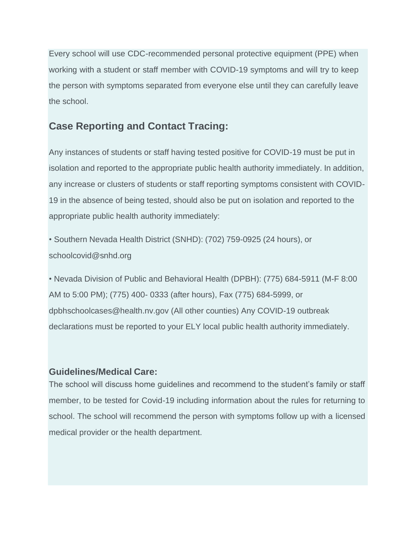Every school will use CDC-recommended personal protective equipment (PPE) when working with a student or staff member with COVID-19 symptoms and will try to keep the person with symptoms separated from everyone else until they can carefully leave the school.

## **Case Reporting and Contact Tracing:**

Any instances of students or staff having tested positive for COVID-19 must be put in isolation and reported to the appropriate public health authority immediately. In addition, any increase or clusters of students or staff reporting symptoms consistent with COVID-19 in the absence of being tested, should also be put on isolation and reported to the appropriate public health authority immediately:

• Southern Nevada Health District (SNHD): (702) 759-0925 (24 hours), or [schoolcovid@snhd.org](https://www.cdc.gov/coronavirus/2019-ncov/vaccines/stay-up-to-date.html)

• Nevada Division of Public and Behavioral Health (DPBH): (775) 684-5911 (M-F 8:00 AM to 5:00 PM); (775) 400- 0333 (after hours), Fax (775) 684-5999, or [dpbhschoolcases@health.nv.gov \(](mailto:dpbhschoolcases@health.nv.gov)All other counties) Any COVID-19 outbreak declarations must be reported to your ELY local public health authority immediately.

#### **Guidelines/Medical Care:**

The school will discuss home guidelines and recommend to the student's family or staff member, to be tested for Covid-19 including information about the rules for returning to school. The school will recommend the person with symptoms follow up with a licensed medical provider or the health department.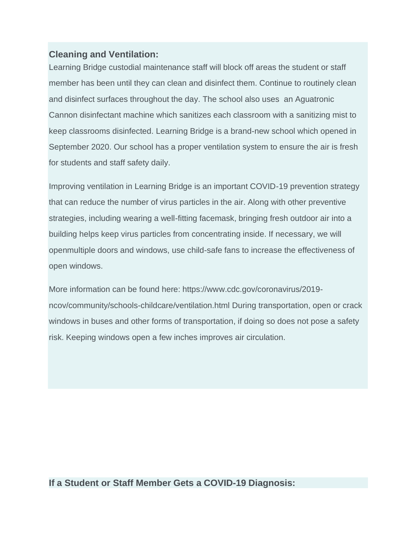#### **Cleaning and Ventilation:**

Learning Bridge custodial maintenance staff will block off areas the student or staff member has been until they can clean and disinfect them. Continue to routinely clean and disinfect surfaces throughout the day. The school also uses an Aguatronic Cannon disinfectant machine which sanitizes each classroom with a sanitizing mist to keep classrooms disinfected. Learning Bridge is a brand-new school which opened in September 2020. Our school has a proper ventilation system to ensure the air is fresh for students and staff safety daily.

Improving ventilation in Learning Bridge is an important COVID-19 prevention strategy that can reduce the number of virus particles in the air. Along with other preventive strategies, including wearing a well-fitting facemask, bringing fresh outdoor air into a building helps keep virus particles from concentrating inside. If necessary, we will openmultiple doors and windows, use child-safe fans to increase the effectiveness of open windows.

More information can be found here: https:/[/www.cdc.gov/coronavirus/2019](http://www.cdc.gov/coronavirus/2019-) ncov/community/schools-childcare/ventilation.html During transportation, open or crack windows in buses and other forms of transportation, if doing so does not pose a safety risk. Keeping windows open a few inches improves air circulation.

### **If a Student or Staff Member Gets a COVID-19 Diagnosis:**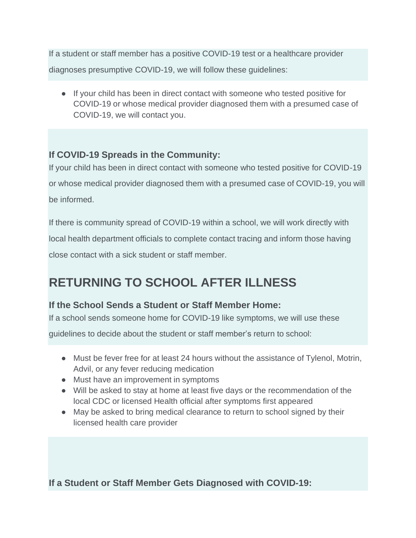If a student or staff member has a positive COVID-19 test or a healthcare provider diagnoses presumptive COVID-19, we will follow these guidelines:

● If your child has been in direct contact with someone who tested positive for COVID-19 or whose medical provider diagnosed them with a presumed case of COVID-19, we will contact you.

### **If COVID-19 Spreads in the Community:**

If your child has been in direct contact with someone who tested positive for COVID-19 or whose medical provider diagnosed them with a presumed case of COVID-19, you will be informed.

If there is community spread of COVID-19 within a school, we will work directly with local health department officials to complete contact tracing and inform those having close contact with a sick student or staff member.

## **RETURNING TO SCHOOL AFTER ILLNESS**

### **If the School Sends a Student or Staff Member Home:**

If a school sends someone home for COVID-19 like symptoms, we will use these

guidelines to decide about the student or staff member's return to school:

- Must be fever free for at least 24 hours without the assistance of Tylenol, Motrin, Advil, or any fever reducing medication
- Must have an improvement in symptoms
- Will be asked to stay at home at least five days or the recommendation of the local CDC or licensed Health official after symptoms first appeared
- May be asked to bring medical clearance to return to school signed by their licensed health care provider

**If a Student or Staff Member Gets Diagnosed with COVID-19:**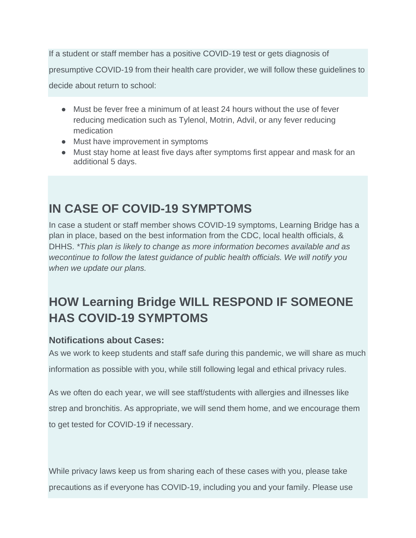If a student or staff member has a positive COVID-19 test or gets diagnosis of

presumptive COVID-19 from their health care provider, we will follow these guidelines to

decide about return to school:

- Must be fever free a minimum of at least 24 hours without the use of fever reducing medication such as Tylenol, Motrin, Advil, or any fever reducing medication
- Must have improvement in symptoms
- Must stay home at least five days after symptoms first appear and mask for an additional 5 days.

## **IN CASE OF COVID-19 SYMPTOMS**

In case a student or staff member shows COVID-19 symptoms, Learning Bridge has a plan in place, based on the best information from the CDC, local health officials, & DHHS. *\*This plan is likely to change as more information becomes available and as wecontinue to follow the latest guidance of public health officials. We will notify you when we update our plans.*

# **HOW Learning Bridge WILL RESPOND IF SOMEONE HAS COVID-19 SYMPTOMS**

### **Notifications about Cases:**

As we work to keep students and staff safe during this pandemic, we will share as much information as possible with you, while still following legal and ethical privacy rules.

As we often do each year, we will see staff/students with allergies and illnesses like strep and bronchitis. As appropriate, we will send them home, and we encourage them to get tested for COVID-19 if necessary.

While privacy laws keep us from sharing each of these cases with you, please take precautions as if everyone has COVID-19, including you and your family. Please use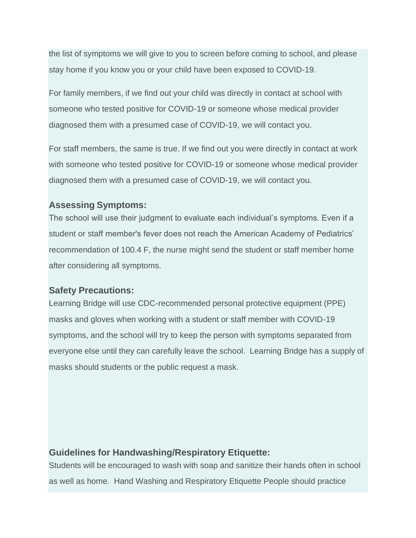the list of symptoms we will give to you to screen before coming to school, and please stay home if you know you or your child have been exposed to COVID-19.

For family members, if we find out your child was directly in contact at school with someone who tested positive for COVID-19 or someone whose medical provider diagnosed them with a presumed case of COVID-19, we will contact you.

For staff members, the same is true. If we find out you were directly in contact at work with someone who tested positive for COVID-19 or someone whose medical provider diagnosed them with a presumed case of COVID-19, we will contact you.

#### **Assessing Symptoms:**

The school will use their judgment to evaluate each individual's symptoms. Even if a student or staff member's fever does not reach the American Academy of Pediatrics' recommendation of 100.4 F, the nurse might send the student or staff member home after considering all symptoms.

#### **Safety Precautions:**

Learning Bridge will use CDC-recommended personal protective equipment (PPE) masks and gloves when working with a student or staff member with COVID-19 symptoms, and the school will try to keep the person with symptoms separated from everyone else until they can carefully leave the school. Learning Bridge has a supply of masks should students or the public request a mask.

### **Guidelines for Handwashing/Respiratory Etiquette:**

Students will be encouraged to wash with soap and sanitize their hands often in school as well as home. Hand Washing and Respiratory Etiquette People should practice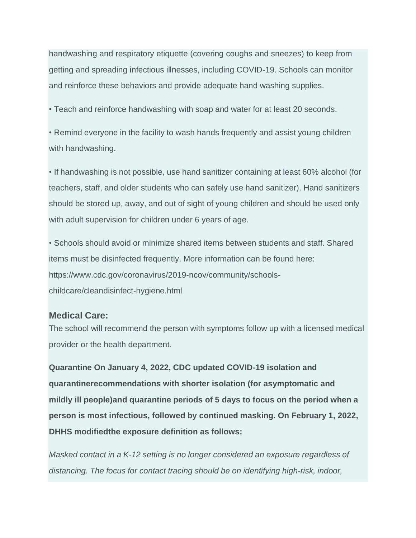handwashing and respiratory etiquette (covering coughs and sneezes) to keep from getting and spreading infectious illnesses, including COVID-19. Schools can monitor and reinforce these behaviors and provide adequate hand washing supplies.

• Teach and reinforce handwashing with soap and water for at least 20 seconds.

• Remind everyone in the facility to wash hands frequently and assist young children with handwashing.

• If handwashing is not possible, use hand sanitizer containing at least 60% alcohol (for teachers, staff, and older students who can safely use hand sanitizer). Hand sanitizers should be stored up, away, and out of sight of young children and should be used only with adult supervision for children under 6 years of age.

• Schools should avoid or minimize shared items between students and staff. Shared items must be disinfected frequently. More information can be found here: https:/[/www.cdc.gov/coronavirus/2019-ncov/community/schools](https://www.cdc.gov/coronavirus/2019-ncov/testing/diagnostic-testing.html)childcare/cleandisinfect-hygiene.html

#### **Medical Care:**

The school will recommend the person with symptoms follow up with a licensed medical provider or the health department.

**Quarantine On January 4, 2022, CDC updated COVID-19 isolation and quarantinerecommendations with shorter isolation (for asymptomatic and mildly ill people)and quarantine periods of 5 days to focus on the period when a person is most infectious, followed by continued masking. On February 1, 2022, DHHS modifiedthe exposure definition as follows:**

*Masked contact in a K-12 setting is no longer considered an exposure regardless of distancing. The focus for contact tracing should be on identifying high-risk, indoor,*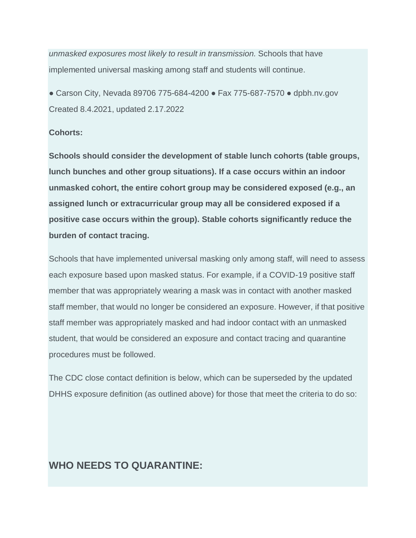*unmasked exposures most likely to result in transmission.* Schools that have implemented universal masking among staff and students will continue.

● Carson City, Nevada 89706 775-684-4200 ● Fax 775-687-7570 ● dpbh.nv.gov Created 8.4.2021, updated 2.17.2022

#### **Cohorts:**

**Schools should consider the development of stable lunch cohorts (table groups, lunch bunches and other group situations). If a case occurs within an indoor unmasked cohort, the entire cohort group may be considered exposed (e.g., an assigned lunch or extracurricular group may all be considered exposed if a positive case occurs within the group). Stable cohorts significantly reduce the burden of contact tracing.**

Schools that have implemented universal masking only among staff, will need to assess each exposure based upon masked status. For example, if a COVID-19 positive staff member that was appropriately wearing a mask was in contact with another masked staff member, that would no longer be considered an exposure. However, if that positive staff member was appropriately masked and had indoor contact with an unmasked student, that would be considered an exposure and contact tracing and quarantine procedures must be followed.

The CDC close contact definition is below, which can be superseded by the updated DHHS exposure definition (as outlined above) for those that meet the criteria to do so:

#### **WHO NEEDS TO QUARANTINE:**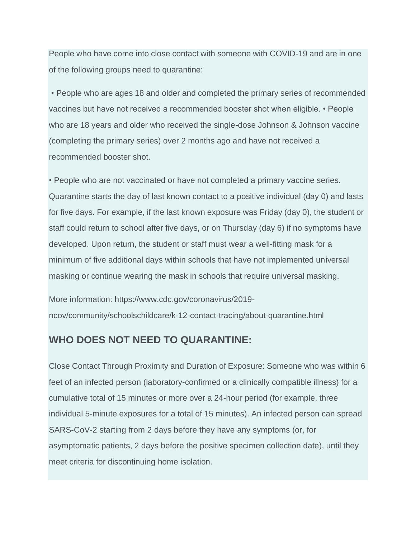People who have come into close contact with someone with COVID-19 and are in one of the following groups need to quarantine:

• People who are ages 18 and older and completed the primary series of recommended vaccines but have not received a recommended booster shot when eligible. • People who are 18 years and older who received the single-dose Johnson & Johnson vaccine (completing the primary series) over 2 months ago and have not received a recommended booster shot.

• People who are not vaccinated or have not completed a primary vaccine series. Quarantine starts the day of last known contact to a positive individual (day 0) and lasts for five days. For example, if the last known exposure was Friday (day 0), the student or staff could return to school after five days, or on Thursday (day 6) if no symptoms have developed. Upon return, the student or staff must wear a well-fitting mask for a minimum of five additional days within schools that have not implemented universal masking or continue wearing the mask in schools that require universal masking.

More information: https:/[/www.cdc.gov/coronavirus/2019](http://www.cdc.gov/coronavirus/2019-) ncov/community/schoolschildcare/k-12-contact-tracing/about-quarantine.html

### **WHO DOES NOT NEED TO QUARANTINE:**

Close Contact Through Proximity and Duration of Exposure: Someone who was within 6 feet of an infected person (laboratory-confirmed or a clinically compatible illness) for a cumulative total of 15 minutes or more over a 24-hour period (for example, three individual 5-minute exposures for a total of 15 minutes). An infected person can spread SARS-CoV-2 starting from 2 days before they have any symptoms (or, for asymptomatic patients, 2 days before the positive specimen collection date), until they meet criteria for discontinuing home isolation.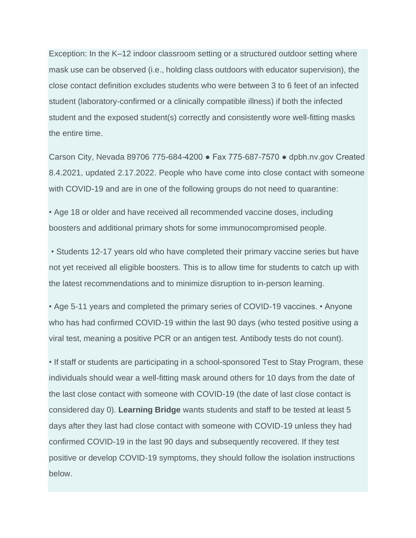Exception: In the K–12 indoor classroom setting or a structured outdoor setting where mask use can be observed (i.e., holding class outdoors with educator supervision), the close contact definition excludes students who were between 3 to 6 feet of an infected student (laboratory-confirmed or a clinically compatible illness) if both the infected student and the exposed student(s) correctly and consistently wore well-fitting masks the entire time.

Carson City, Nevada 89706 775-684-4200 ● Fax 775-687-7570 ● dpbh.nv.gov Created 8.4.2021, updated 2.17.2022. People who have come into close contact with someone with COVID-19 and are in one of the following groups do not need to quarantine:

• Age 18 or older and have received all recommended vaccine doses, including boosters and additional primary shots for some immunocompromised people.

• Students 12-17 years old who have completed their primary vaccine series but have not yet received all eligible boosters. This is to allow time for students to catch up with the latest recommendations and to minimize disruption to in-person learning.

• Age 5-11 years and completed the primary series of COVID-19 vaccines. • Anyone who has had confirmed COVID-19 within the last 90 days (who tested positive using a viral test, meaning a positive PCR or an antigen test. Antibody tests do not count).

• If staff or students are participating in a school-sponsored Test to Stay Program, these individuals should wear a well-fitting mask around others for 10 days from the date of the last close contact with someone with COVID-19 (the date of last close contact is considered day 0). **Learning Bridge** wants students and staff to be tested at least 5 days after they last had close contact with someone with COVID-19 unless they had confirmed COVID-19 in the last 90 days and subsequently recovered. If they test positive or develop COVID-19 symptoms, they should follow the isolation instructions below.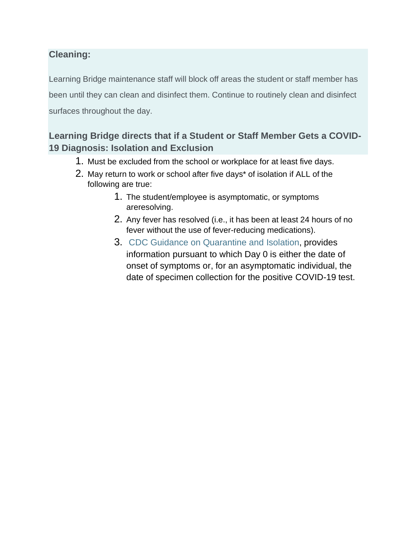### **Cleaning:**

Learning Bridge maintenance staff will block off areas the student or staff member has been until they can clean and disinfect them. Continue to routinely clean and disinfect surfaces throughout the day.

### **Learning Bridge directs that if a Student or Staff Member Gets a COVID-19 Diagnosis: Isolation and Exclusion**

- 1. Must be excluded from the school or workplace for at least five days.
- 2. May return to work or school after five days\* of isolation if ALL of the following are true:
	- 1. The student/employee is asymptomatic, or symptoms areresolving.
	- 2. Any fever has resolved (i.e., it has been at least 24 hours of no fever without the use of fever-reducing medications).
	- 3. [CDC Guidance](https://www.cdc.gov/coronavirus/2019-ncov/science/community-levels.html) on [Quarantine](https://www.cdc.gov/coronavirus/2019-ncov/science/community-levels.html) and Isolation, provides information pursuant to which Day 0 is either the date of onset of symptoms or, for an asymptomatic individual, the date of specimen collection for the positive COVID-19 test.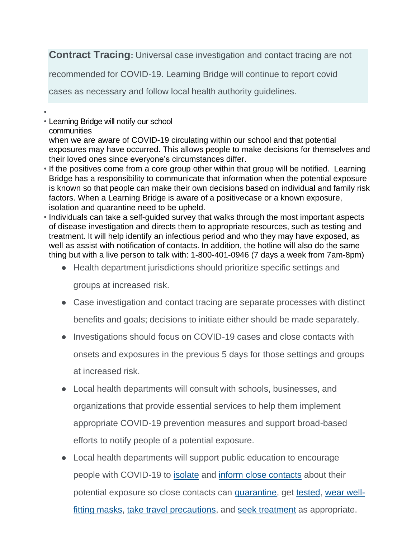**Contract Tracing:** Universal case investigation and contact tracing are not

recommended for COVID-19. Learning Bridge will continue to report covid

cases as necessary and follow local health authority guidelines.

• • Learning Bridge will notify our school communities

when we are aware of COVID-19 circulating within our school and that potential exposures may have occurred. This allows people to make decisions for themselves and their loved ones since everyone's circumstances differ.

- If the positives come from a core group other within that group will be notified. Learning Bridge has a responsibility to communicate that information when the potential exposure is known so that people can make their own decisions based on individual and family risk factors. When a Learning Bridge is aware of a positivecase or a known exposure, isolation and quarantine need to be upheld.
- Individuals can take a self-guided survey that walks through the most important aspects of disease investigation and directs them to appropriate resources, such as testing and treatment. It will help identify an infectious period and who they may have exposed, as well as assist with notification of contacts. In addition, the hotline will also do the same thing but with a live person to talk with: 1-800-401-0946 (7 days a week from 7am-8pm)
	- Health department jurisdictions should prioritize specific settings and

groups at increased risk.

- Case investigation and contact tracing are separate processes with distinct benefits and goals; decisions to initiate either should be made separately.
- Investigations should focus on COVID-19 cases and close contacts with onsets and exposures in the previous 5 days for those settings and groups at increased risk.
- Local health departments will consult with schools, businesses, and organizations that provide essential services to help them implement appropriate COVID-19 prevention measures and support broad-based efforts to notify people of a potential exposure.
- Local health departments will support public education to encourage people with COVID-19 to [isolate](https://www.cdc.gov/coronavirus/2019-ncov/your-health/quarantine-isolation.html) and [inform close contacts](mailto:schoolcovid@snhd.org) about their potential exposure so close contacts can [quarantine,](https://www.cdc.gov/coronavirus/2019-ncov/your-health/quarantine-isolation.html) get [tested,](https://www.cdc.gov/coronavirus/2019-ncov/your-health/quarantine-isolation.html) [wear well](https://www.cdc.gov/coronavirus/2019-ncov/your-health/quarantine-isolation.html)fitting [masks,](https://www.cdc.gov/coronavirus/2019-ncov/your-health/effective-masks.html) take travel [precautions,](https://www.cdc.gov/coronavirus/2019-ncov/testing/diagnostic-testing.html#do-not-travel) and seek [treatment](https://www.cdc.gov/coronavirus/2019-ncov/testing/diagnostic-testing.html) as appropriate.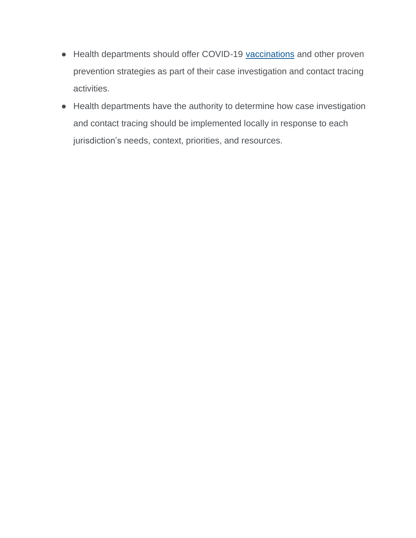- Health departments should offer COVID-19 [vaccinations](https://www.cdc.gov/coronavirus/2019-ncov/vaccines/index.html) and other proven prevention strategies as part of their case investigation and contact tracing activities.
- Health departments have the authority to determine how case investigation and contact tracing should be implemented locally in response to each jurisdiction's needs, context, priorities, and resources.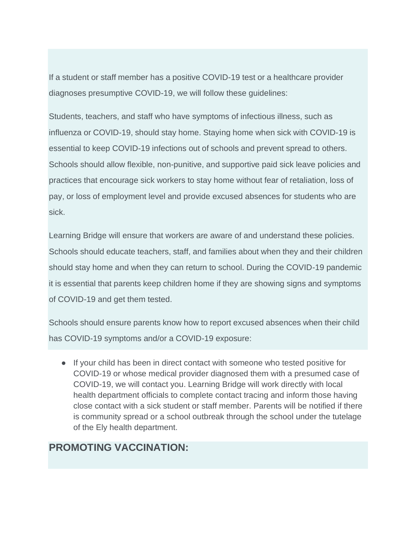If a student or staff member has a positive COVID-19 test or a healthcare provider diagnoses presumptive COVID-19, we will follow these guidelines:

Students, teachers, and staff who have symptoms of infectious illness, such as influenza or COVID-19, should stay home. Staying home when sick with COVID-19 is essential to keep COVID-19 infections out of schools and prevent spread to others. Schools should allow flexible, non-punitive, and supportive paid sick leave policies and practices that encourage sick workers to stay home without fear of retaliation, loss of pay, or loss of employment level and provide excused absences for students who are sick.

Learning Bridge will ensure that workers are aware of and understand these policies. Schools should educate teachers, staff, and families about when they and their children should stay home and when they can return to school. During the COVID-19 pandemic it is essential that parents keep children home if they are showing signs and symptoms of COVID-19 and get them tested.

Schools should ensure parents know how to report excused absences when their child has COVID-19 symptoms and/or a COVID-19 exposure:

● If your child has been in direct contact with someone who tested positive for COVID-19 or whose medical provider diagnosed them with a presumed case of COVID-19, we will contact you. Learning Bridge will work directly with local health department officials to complete contact tracing and inform those having close contact with a sick student or staff member. Parents will be notified if there is community spread or a school outbreak through the school under the tutelage of the Ely health department.

## **PROMOTING VACCINATION:**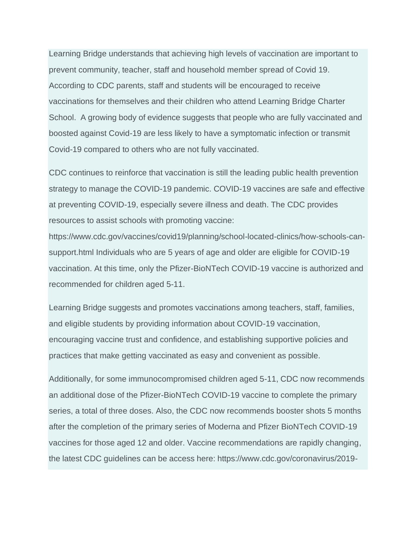Learning Bridge understands that achieving high levels of vaccination are important to prevent community, teacher, staff and household member spread of Covid 19. According to CDC parents, staff and students will be encouraged to receive vaccinations for themselves and their children who attend Learning Bridge Charter School. A growing body of evidence suggests that people who are fully vaccinated and boosted against Covid-19 are less likely to have a symptomatic infection or transmit Covid-19 compared to others who are not fully vaccinated.

CDC continues to reinforce that vaccination is still the leading public health prevention strategy to manage the COVID-19 pandemic. COVID-19 vaccines are safe and effective at preventing COVID-19, especially severe illness and death. The CDC provides resources to assist schools with promoting vaccine:

https:/[/www.cdc.gov/vaccines/covid19/planning/school-located-clinics/how-schools-can](https://www.cdc.gov/coronavirus/2019-ncov/daily-life-coping/tell-your-contacts.html)support.html Individuals who are 5 years of age and older are eligible for COVID-19 vaccination. At this time, only the Pfizer-BioNTech COVID-19 vaccine is authorized and recommended for children aged 5-11.

Learning Bridge suggests and promotes vaccinations among teachers, staff, families, and eligible students by providing information about COVID-19 vaccination, encouraging vaccine trust and confidence, and establishing supportive policies and practices that make getting vaccinated as easy and convenient as possible.

Additionally, for some immunocompromised children aged 5-11, CDC now recommends an additional dose of the Pfizer-BioNTech COVID-19 vaccine to complete the primary series, a total of three doses. Also, the CDC now recommends booster shots 5 months after the completion of the primary series of Moderna and Pfizer BioNTech COVID-19 vaccines for those aged 12 and older. Vaccine recommendations are rapidly changing, the latest CDC guidelines can be access here: https:/[/www.cdc.gov/coronavirus/2019-](http://www.cdc.gov/coronavirus/2019-)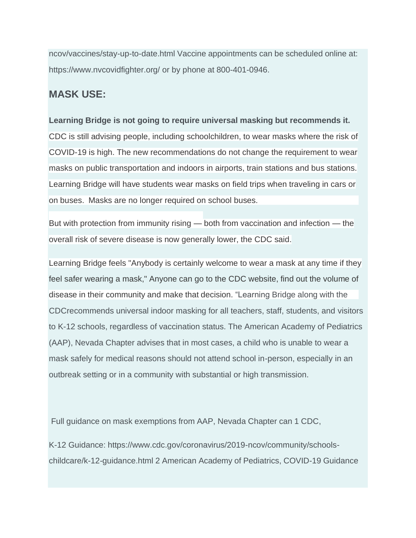ncov/vaccines/stay-up-to-date.html Vaccine appointments can be scheduled online at: https:/[/www.nvcovidfighter.org/](https://www.cdc.gov/coronavirus/2019-ncov/travelers/index.html) or by phone at 800-401-0946.

### **MASK USE:**

**Learning Bridge is not going to require universal masking but recommends it.** CDC is still advising people, including schoolchildren, to wear masks where the risk of COVID-19 is high. The new recommendations do not change the requirement to wear masks on public transportation and indoors in airports, train stations and bus stations. Learning Bridge will have students wear masks on field trips when traveling in cars or on buses. Masks are no longer required on school buses.

But with protection from immunity rising — both from vaccination and infection — the overall risk of severe disease is now generally lower, the CDC said.

Learning Bridge feels "Anybody is certainly welcome to wear a mask at any time if they feel safer wearing a mask," Anyone can go to the CDC website, find out the volume of disease in their community and make that decision. "Learning Bridge along with the CDCrecommends universal indoor masking for all teachers, staff, students, and visitors to K-12 schools, regardless of vaccination status. The American Academy of Pediatrics (AAP), Nevada Chapter advises that in most cases, a child who is unable to wear a mask safely for medical reasons should not attend school in-person, especially in an outbreak setting or in a community with substantial or high transmission.

Full guidance on mask exemptions from AAP, Nevada Chapter can 1 CDC,

K-12 Guidance: https:/[/www.cdc.gov/coronavirus/2019-ncov/community/schools](https://www.cdc.gov/coronavirus/2019-ncov/your-health/effective-masks.html)childcare/k-12-guidance.html 2 American Academy of Pediatrics, COVID-19 Guidance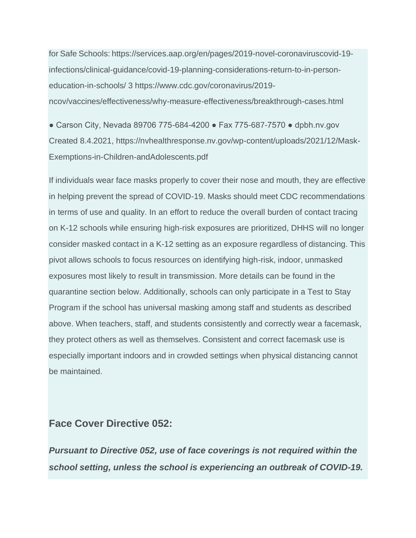for Safe Schools: https://services.aap.org/en/pages/2019-novel-coronaviruscovid-19 infections/clinical-guidance/covid-19-planning-considerations-return-to-in-personeducation-in-schools/ 3 https:/[/www.cdc.gov/coronavirus/2019](http://www.cdc.gov/coronavirus/2019-) ncov/vaccines/effectiveness/why-measure-effectiveness/breakthrough-cases.html

● Carson City, Nevada 89706 775-684-4200 ● Fax 775-687-7570 ● dpbh.nv.gov Created 8.4.2021, https://nvhealthresponse.nv.gov/wp-content/uploads/2021/12/Mask-Exemptions-in-Children-andAdolescents.pdf

If individuals wear face masks properly to cover their nose and mouth, they are effective in helping prevent the spread of COVID-19. Masks should meet CDC recommendations in terms of use and quality. In an effort to reduce the overall burden of contact tracing on K-12 schools while ensuring high-risk exposures are prioritized, DHHS will no longer consider masked contact in a K-12 setting as an exposure regardless of distancing. This pivot allows schools to focus resources on identifying high-risk, indoor, unmasked exposures most likely to result in transmission. More details can be found in the quarantine section below. Additionally, schools can only participate in a Test to Stay Program if the school has universal masking among staff and students as described above. When teachers, staff, and students consistently and correctly wear a facemask, they protect others as well as themselves. Consistent and correct facemask use is especially important indoors and in crowded settings when physical distancing cannot be maintained.

### **Face Cover Directive 052:**

*Pursuant to Directive 052, use of face coverings is not required within the school setting, unless the school is experiencing an outbreak of COVID-19.*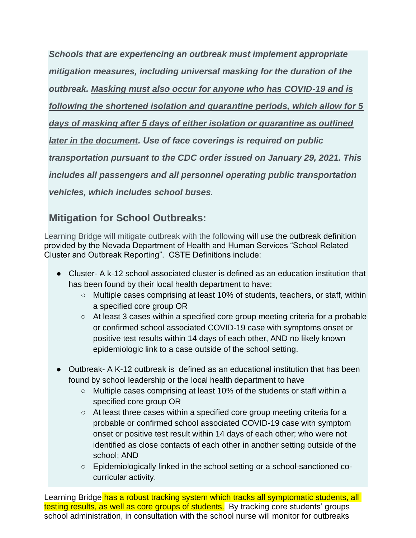*Schools that are experiencing an outbreak must implement appropriate mitigation measures, including universal masking for the duration of the outbreak. Masking must also occur for anyone who has COVID-19 and is following the shortened isolation and quarantine periods, which allow for 5 days of masking after 5 days of either isolation or quarantine as outlined later in the document. Use of face coverings is required on public transportation pursuant to the CDC order issued on January 29, 2021. This includes all passengers and all personnel operating public transportation vehicles, which includes school buses.*

## **Mitigation for School Outbreaks:**

Learning Bridge will mitigate outbreak with the following will use the outbreak definition provided by the Nevada Department of Health and Human Services "School Related Cluster and Outbreak Reporting". CSTE Definitions include:

- Cluster- A k-12 school associated cluster is defined as an education institution that has been found by their local health department to have:
	- Multiple cases comprising at least 10% of students, teachers, or staff, within a specified core group OR
	- At least 3 cases within a specified core group meeting criteria for a probable or confirmed school associated COVID-19 case with symptoms onset or positive test results within 14 days of each other, AND no likely known epidemiologic link to a case outside of the school setting.
- Outbreak- A K-12 outbreak is defined as an educational institution that has been found by school leadership or the local health department to have
	- Multiple cases comprising at least 10% of the students or staff within a specified core group OR
	- $\circ$  At least three cases within a specified core group meeting criteria for a probable or confirmed school associated COVID-19 case with symptom onset or positive test result within 14 days of each other; who were not identified as close contacts of each other in another setting outside of the school; AND
	- Epidemiologically linked in the school setting or a school-sanctioned cocurricular activity.

Learning Bridge has a robust tracking system which tracks all symptomatic students, all testing results, as well as core groups of students. By tracking core students' groups school administration, in consultation with the school nurse will monitor for outbreaks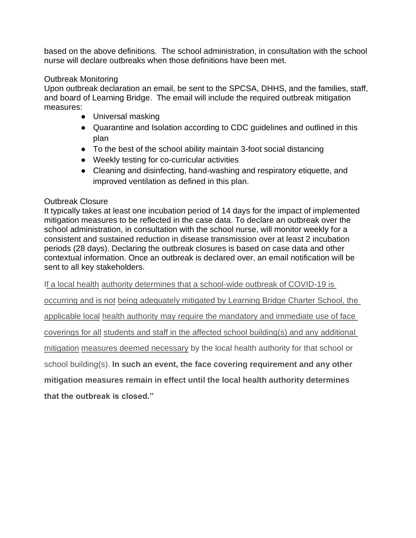based on the above definitions. The school administration, in consultation with the school nurse will declare outbreaks when those definitions have been met.

#### Outbreak Monitoring

Upon outbreak declaration an email, be sent to the SPCSA, DHHS, and the families, staff, and board of Learning Bridge. The email will include the required outbreak mitigation measures:

- Universal masking
- Quarantine and Isolation according to CDC guidelines and outlined in this plan
- To the best of the school ability maintain 3-foot social distancing
- Weekly testing for co-curricular activities
- Cleaning and disinfecting, hand-washing and respiratory etiquette, and improved ventilation as defined in this plan.

#### Outbreak Closure

It typically takes at least one incubation period of 14 days for the impact of implemented mitigation measures to be reflected in the case data. To declare an outbreak over the school administration, in consultation with the school nurse, will monitor weekly for a consistent and sustained reduction in disease transmission over at least 2 incubation periods (28 days). Declaring the outbreak closures is based on case data and other contextual information. Once an outbreak is declared over, an email notification will be sent to all key stakeholders.

If a local health authority determines that a school-wide outbreak of COVID-19 is

occurring and is not being adequately mitigated by Learning Bridge Charter School, the

applicable local health authority may require the mandatory and immediate use of face

coverings for all students and staff in the affected school building(s) and any additional

mitigation measures deemed necessary by the local health authority for that school or

school building(s). **In such an event, the face covering requirement and any other**

**mitigation measures remain in effect until the local health authority determines**

**that the outbreak is closed."**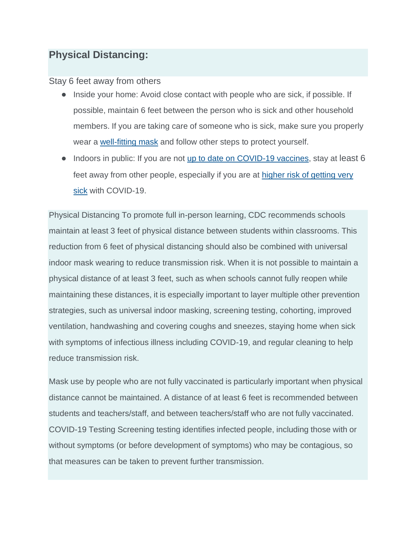### **Physical Distancing:**

Stay 6 feet away from others

- Inside your home: Avoid close contact with people who are sick, if possible. If possible, maintain 6 feet between the person who is sick and other household members. If you are taking care of someone who is sick, make sure you properly wear a [well-fitting](http://www.cdc.gov/vaccines/covid19/planning/school-located-clinics/how-schools-can-) mask and follow other steps to protect yourself.
- Indoors in public: If you are not [up to date on COVID-19 vaccines,](https://www.cdc.gov/coronavirus/2019-ncov/vaccines/fully-vaccinated.html) stay at least 6 feet away from other people, especially if you are at [higher risk of getting very](https://www.cdc.gov/coronavirus/2019-ncov/need-extra-precautions/people-with-medical-conditions.html) [sick](http://www.cdc.gov/coronavirus/2019-ncov/community/schools-) with COVID-19.

Physical Distancing To promote full in-person learning, CDC recommends schools maintain at least 3 feet of physical distance between students within classrooms. This reduction from 6 feet of physical distancing should also be combined with universal indoor mask wearing to reduce transmission risk. When it is not possible to maintain a physical distance of at least 3 feet, such as when schools cannot fully reopen while maintaining these distances, it is especially important to layer multiple other prevention strategies, such as universal indoor masking, screening testing, cohorting, improved ventilation, handwashing and covering coughs and sneezes, staying home when sick with symptoms of infectious illness including COVID-19, and regular cleaning to help reduce transmission risk.

Mask use by people who are not fully vaccinated is particularly important when physical distance cannot be maintained. A distance of at least 6 feet is recommended between students and teachers/staff, and between teachers/staff who are not fully vaccinated. COVID-19 Testing Screening testing identifies infected people, including those with or without symptoms (or before development of symptoms) who may be contagious, so that measures can be taken to prevent further transmission.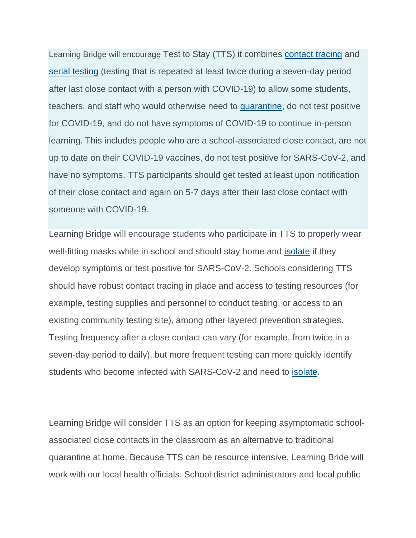Learning Bridge will encourage Test to Stay (TTS) it combines [contact tracing](https://www.cdc.gov/coronavirus/2019-ncov/community/schools-childcare/K-12-contact-tracing.html) and [serial testing](http://www.nvcovidfighter.org/) (testing that is repeated at least twice during a seven-day period after last close contact with a person with COVID-19) to allow some students, teachers, and staff who would otherwise need to [quarantine,](https://www.cdc.gov/coronavirus/2019-ncov/your-health/treatments-for-severe-illness.html) do not test positive for COVID-19, and do not have symptoms of COVID-19 to continue in-person learning. This includes people who are a school-associated close contact, are not up to date on their COVID-19 vaccines, do not test positive for SARS-CoV-2, and have no symptoms. TTS participants should get tested at least upon notification of their close contact and again on 5-7 days after their last close contact with someone with COVID-19.

Learning Bridge will encourage students who participate in TTS to properly wear well-fitting masks while in school and should stay home and [isolate](https://www.cdc.gov/coronavirus/2019-ncov/testing/diagnostic-testing.html) if they develop symptoms or test positive for SARS-CoV-2. Schools considering TTS should have robust contact tracing in place and access to testing resources (for example, testing supplies and personnel to conduct testing, or access to an existing community testing site), among other layered prevention strategies. Testing frequency after a close contact can vary (for example, from twice in a seven-day period to daily), but more frequent testing can more quickly identify students who become infected with SARS-CoV-2 and need to [isolate.](http://www.cdc.gov/coronavirus/2019-ncov/community/schools-)

Learning Bridge will consider TTS as an option for keeping asymptomatic schoolassociated close contacts in the classroom as an alternative to traditional quarantine at home. Because TTS can be resource intensive, Learning Bride will work with our local health officials. School district administrators and local public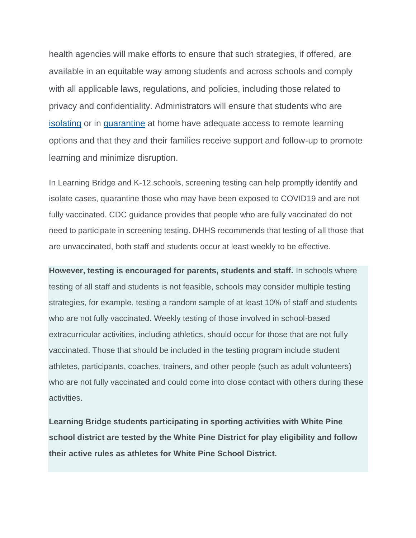health agencies will make efforts to ensure that such strategies, if offered, are available in an equitable way among students and across schools and comply with all applicable laws, regulations, and policies, including those related to privacy and confidentiality. Administrators will ensure that students who are [isolating](https://www.cdc.gov/coronavirus/2019-ncov/community/schools-childcare/k-12-contact-tracing/about-isolation.html) or in [quarantine](https://www.cdc.gov/coronavirus/2019-ncov/science/community-levels.html) at home have adequate access to remote learning options and that they and their families receive support and follow-up to promote learning and minimize disruption.

In Learning Bridge and K-12 schools, screening testing can help promptly identify and isolate cases, quarantine those who may have been exposed to COVID19 and are not fully vaccinated. CDC guidance provides that people who are fully vaccinated do not need to participate in screening testing. DHHS recommends that testing of all those that are unvaccinated, both staff and students occur at least weekly to be effective.

**However, testing is encouraged for parents, students and staff.** In schools where testing of all staff and students is not feasible, schools may consider multiple testing strategies, for example, testing a random sample of at least 10% of staff and students who are not fully vaccinated. Weekly testing of those involved in school-based extracurricular activities, including athletics, should occur for those that are not fully vaccinated. Those that should be included in the testing program include student athletes, participants, coaches, trainers, and other people (such as adult volunteers) who are not fully vaccinated and could come into close contact with others during these activities.

**Learning Bridge students participating in sporting activities with White Pine school district are tested by the White Pine District for play eligibility and follow their active rules as athletes for White Pine School District.**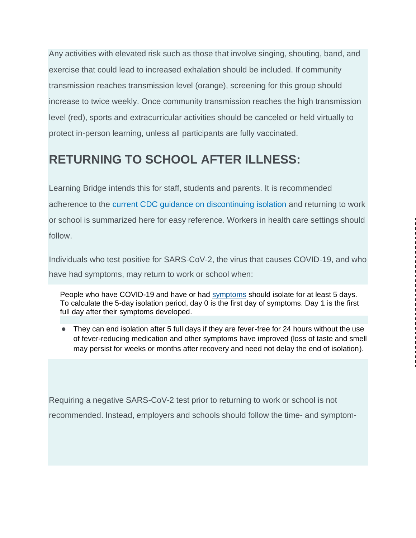Any activities with elevated risk such as those that involve singing, shouting, band, and exercise that could lead to increased exhalation should be included. If community transmission reaches transmission level (orange), screening for this group should increase to twice weekly. Once community transmission reaches the high transmission level (red), sports and extracurricular activities should be canceled or held virtually to protect in-person learning, unless all participants are fully vaccinated.

## **RETURNING TO SCHOOL AFTER ILLNESS:**

Learning Bridge intends this for staff, students and parents. It is recommended adherence to the [current CDC guidance on discontinuing isolation a](https://www.cdc.gov/coronavirus/2019-ncov/community/schools-childcare/k-12-contact-tracing/about-quarantine.html)nd returning to work or school is summarized here for easy reference. Workers in health care settings should follow.

Individuals who test positive for SARS-CoV-2, the virus that causes COVID-19, and who have had symptoms, may return to work or school when:

People who have COVID-19 and have or had [symptoms](https://www.cdc.gov/coronavirus/2019-ncov/symptoms-testing/symptoms.html) should isolate for at least 5 days. To calculate the 5-day isolation period, day 0 is the first day of symptoms. Day 1 is the first full day after their symptoms developed.

● They can end isolation after 5 full days if they are fever-free for 24 hours without the use of fever-reducing medication and other symptoms have improved (loss of taste and smell may persist for weeks or months after recovery and need not delay the end of isolation).

Requiring a negative SARS-CoV-2 test prior to returning to work or school is not recommended. Instead, employers and schools should follow the time- and symptom-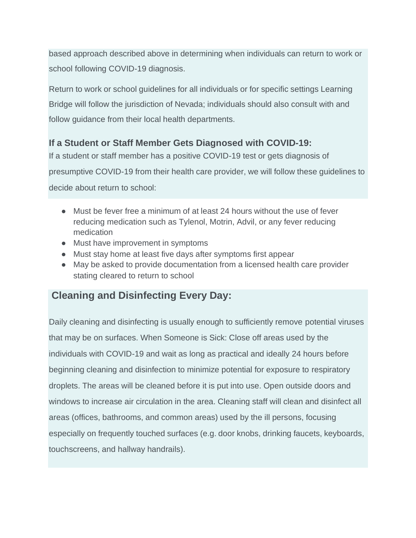based approach described above in determining when individuals can return to work or school following COVID-19 diagnosis.

Return to work or school guidelines for all individuals or for specific settings Learning Bridge will follow the jurisdiction of Nevada; individuals should also consult with and follow guidance from their local health departments.

### **If a Student or Staff Member Gets Diagnosed with COVID-19:**

If a student or staff member has a positive COVID-19 test or gets diagnosis of

presumptive COVID-19 from their health care provider, we will follow these guidelines to decide about return to school:

- Must be fever free a minimum of at least 24 hours without the use of fever reducing medication such as Tylenol, Motrin, Advil, or any fever reducing medication
- Must have improvement in symptoms
- Must stay home at least five days after symptoms first appear
- May be asked to provide documentation from a licensed health care provider stating cleared to return to school

## **Cleaning and Disinfecting Every Day:**

Daily cleaning and disinfecting is usually enough to sufficiently remove potential viruses that may be on surfaces. When Someone is Sick: Close off areas used by the individuals with COVID-19 and wait as long as practical and ideally 24 hours before beginning cleaning and disinfection to minimize potential for exposure to respiratory droplets. The areas will be cleaned before it is put into use. Open outside doors and windows to increase air circulation in the area. Cleaning staff will clean and disinfect all areas (offices, bathrooms, and common areas) used by the ill persons, focusing especially on frequently touched surfaces (e.g. door knobs, drinking faucets, keyboards, touchscreens, and hallway handrails).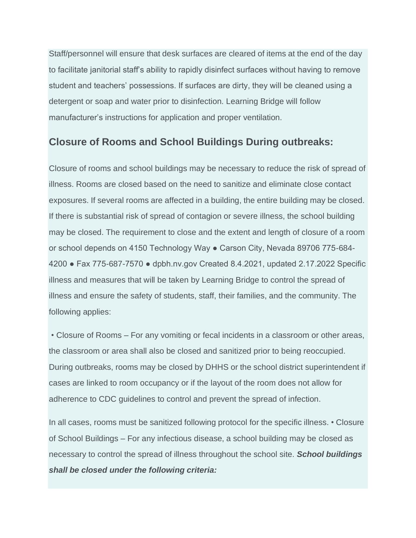Staff/personnel will ensure that desk surfaces are cleared of items at the end of the day to facilitate janitorial staff's ability to rapidly disinfect surfaces without having to remove student and teachers' possessions. If surfaces are dirty, they will be cleaned using a detergent or soap and water prior to disinfection. Learning Bridge will follow manufacturer's instructions for application and proper ventilation.

## **Closure of Rooms and School Buildings During outbreaks:**

Closure of rooms and school buildings may be necessary to reduce the risk of spread of illness. Rooms are closed based on the need to sanitize and eliminate close contact exposures. If several rooms are affected in a building, the entire building may be closed. If there is substantial risk of spread of contagion or severe illness, the school building may be closed. The requirement to close and the extent and length of closure of a room or school depends on 4150 Technology Way ● Carson City, Nevada 89706 775-684- 4200 ● Fax 775-687-7570 ● dpbh.nv.gov Created 8.4.2021, updated 2.17.2022 Specific illness and measures that will be taken by Learning Bridge to control the spread of illness and ensure the safety of students, staff, their families, and the community. The following applies:

• Closure of Rooms – For any vomiting or fecal incidents in a classroom or other areas, the classroom or area shall also be closed and sanitized prior to being reoccupied. During outbreaks, rooms may be closed by DHHS or the school district superintendent if cases are linked to room occupancy or if the layout of the room does not allow for adherence to CDC guidelines to control and prevent the spread of infection.

In all cases, rooms must be sanitized following protocol for the specific illness. • Closure of School Buildings – For any infectious disease, a school building may be closed as necessary to control the spread of illness throughout the school site. *School buildings shall be closed under the following criteria:*